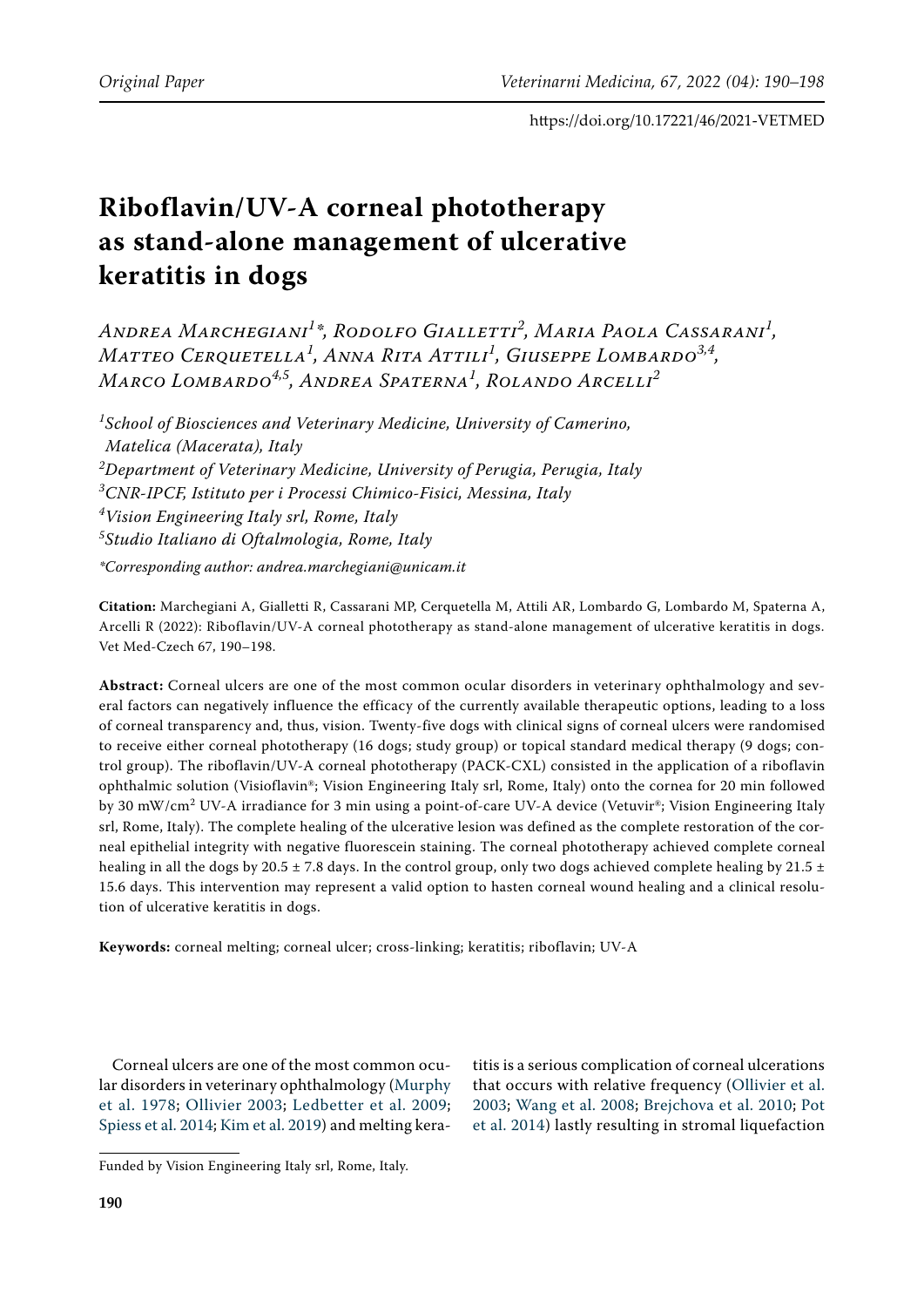# **Riboflavin/UV-A corneal phototherapy as stand-alone management of ulcerative keratitis in dogs**

*Andrea Marchegiani<sup>1</sup> \*, Rodolfo Gialletti<sup>2</sup> , Maria Paola Cassarani<sup>1</sup> , Matteo Cerquetella<sup>1</sup> , Anna Rita Attili<sup>1</sup> , Giuseppe Lombardo3,4, Marco Lombardo4,5, Andrea Spaterna1 , Rolando Arcelli<sup>2</sup>*

 *School of Biosciences and Veterinary Medicine, University of Camerino, Matelica (Macerata), Italy Department of Veterinary Medicine, University of Perugia, Perugia, Italy CNR-IPCF, Istituto per i Processi Chimico-Fisici, Messina, Italy Vision Engineering Italy srl, Rome, Italy Studio Italiano di Oftalmologia, Rome, Italy \*Corresponding author: andrea.marchegiani@unicam.it*

**Citation:** Marchegiani A, Gialletti R, Cassarani MP, Cerquetella M, Attili AR, Lombardo G, Lombardo M, Spaterna A, Arcelli R (2022): Riboflavin/UV-A corneal phototherapy as stand-alone management of ulcerative keratitis in dogs. Vet Med-Czech 67, 190–198.

**Abstract:** Corneal ulcers are one of the most common ocular disorders in veterinary ophthalmology and several factors can negatively influence the efficacy of the currently available therapeutic options, leading to a loss of corneal transparency and, thus, vision. Twenty-five dogs with clinical signs of corneal ulcers were randomised to receive either corneal phototherapy (16 dogs; study group) or topical standard medical therapy (9 dogs; control group). The riboflavin/UV-A corneal phototherapy (PACK-CXL) consisted in the application of a riboflavin ophthalmic solution (Visioflavin®; Vision Engineering Italy srl, Rome, Italy) onto the cornea for 20 min followed by 30 mW/cm<sup>2</sup> UV-A irradiance for 3 min using a point-of-care UV-A device (Vetuvir®; Vision Engineering Italy srl, Rome, Italy). The complete healing of the ulcerative lesion was defined as the complete restoration of the corneal epithelial integrity with negative fluorescein staining. The corneal phototherapy achieved complete corneal healing in all the dogs by 20.5  $\pm$  7.8 days. In the control group, only two dogs achieved complete healing by 21.5  $\pm$ 15.6 days. This intervention may represent a valid option to hasten corneal wound healing and a clinical resolution of ulcerative keratitis in dogs.

**Keywords:** corneal melting; corneal ulcer; cross-linking; keratitis; riboflavin; UV-A

Corneal ulcers are one of the most common ocular disorders in veterinary ophthalmology [\(Murphy](#page-7-0)  [et al. 1978;](#page-7-0) [Ollivier 2003](#page-7-1); [Ledbetter et al. 2009](#page-7-2); [Spiess et al. 2014](#page-8-0); [Kim et al. 2019](#page-7-3)) and melting keratitis is a serious complication of corneal ulcerations that occurs with relative frequency ([Ollivier et al.](#page-7-4) [2003;](#page-7-4) [Wang et al. 2008](#page-8-1); [Brejchova et al. 2010;](#page-6-0) [Pot](#page-8-2) [et al. 2014](#page-8-2)) lastly resulting in stromal liquefaction

Funded by Vision Engineering Italy srl, Rome, Italy.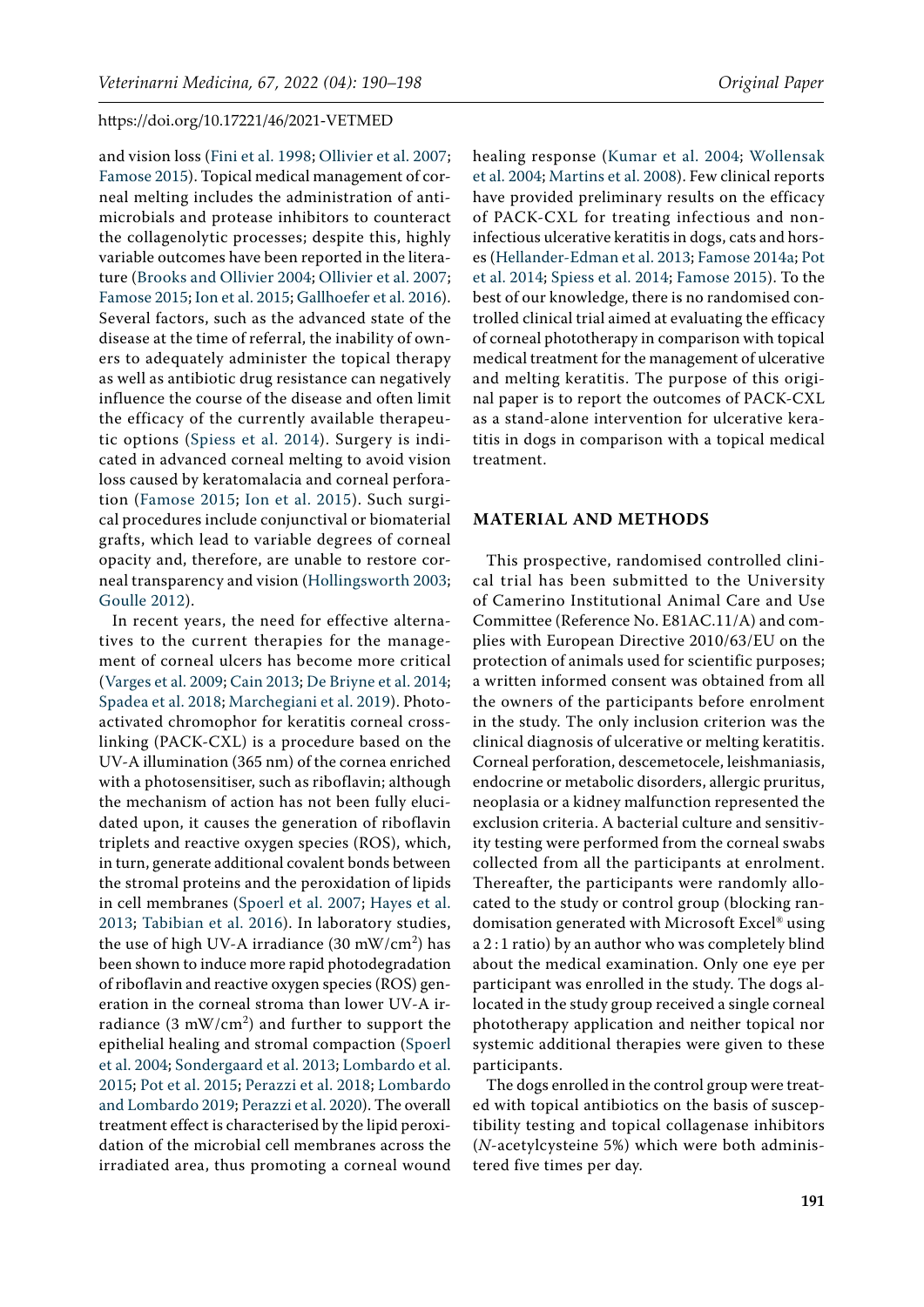and vision loss ([Fini et al. 1998;](#page-7-5) [Ollivier et al. 2007](#page-7-6); [Famose 2015](#page-7-7)). Topical medical management of corneal melting includes the administration of antimicrobials and protease inhibitors to counteract the collagenolytic processes; despite this, highly variable outcomes have been reported in the literature [\(Brooks and Ollivier 2004;](#page-6-1) [Ollivier et al. 2007](#page-7-6); [Famose 2015](#page-7-7); [Ion et al. 2015;](#page-7-8) [Gallhoefer et al. 2016\)](#page-7-9). Several factors, such as the advanced state of the disease at the time of referral, the inability of owners to adequately administer the topical therapy as well as antibiotic drug resistance can negatively influence the course of the disease and often limit the efficacy of the currently available therapeutic options ([Spiess et al. 2014\)](#page-8-0). Surgery is indicated in advanced corneal melting to avoid vision loss caused by keratomalacia and corneal perforation ([Famose 2015;](#page-7-7) [Ion et al. 2015\)](#page-7-8). Such surgical procedures include conjunctival or biomaterial grafts, which lead to variable degrees of corneal opacity and, therefore, are unable to restore corneal transparency and vision [\(Hollingsworth 2003](#page-7-10); [Goulle 2012](#page-7-11)).

In recent years, the need for effective alternatives to the current therapies for the management of corneal ulcers has become more critical ([Varges et al. 2009;](#page-8-3) [Cain 2013](#page-6-2); [De Briyne et al. 2014](#page-6-3); [Spadea et al. 2018;](#page-8-4) [Marchegiani et al. 2019\)](#page-7-12). Photoactivated chromophor for keratitis corneal crosslinking (PACK-CXL) is a procedure based on the UV-A illumination (365 nm) of the cornea enriched with a photosensitiser, such as riboflavin; although the mechanism of action has not been fully elucidated upon, it causes the generation of riboflavin triplets and reactive oxygen species (ROS), which, in turn, generate additional covalent bonds between the stromal proteins and the peroxidation of lipids in cell membranes ([Spoerl et al. 2007;](#page-8-5) [Hayes et al.](#page-7-13)  [2013;](#page-7-13) [Tabibian et al. 2016](#page-8-6)). In laboratory studies, the use of high UV-A irradiance (30 mW/cm<sup>2</sup>) has been shown to induce more rapid photodegradation of riboflavin and reactive oxygen species (ROS) generation in the corneal stroma than lower UV-A irradiance (3 mW/cm<sup>2</sup>) and further to support the epithelial healing and stromal compaction [\(Spoerl](#page-8-7)  [et al. 2004](#page-8-7); [Sondergaard et al. 2013](#page-8-8); [Lombardo et al.](#page-7-14)  [2015;](#page-7-14) [Pot et al. 2015](#page-8-9); [Perazzi et al. 2018;](#page-7-15) [Lombardo](#page-7-16)  [and Lombardo 2019](#page-7-16); [Perazzi et al. 2020\)](#page-7-17). The overall treatment effect is characterised by the lipid peroxidation of the microbial cell membranes across the irradiated area, thus promoting a corneal wound

healing response ([Kumar et al. 2004;](#page-7-18) [Wollensak](#page-8-10) [et al. 2004](#page-8-10); [Martins et al. 2008](#page-7-19)). Few clinical reports have provided preliminary results on the efficacy of PACK-CXL for treating infectious and noninfectious ulcerative keratitis in dogs, cats and horses [\(Hellander-Edman et al. 2013](#page-7-20); [Famose 2014a](#page-7-21); [Pot](#page-8-2) [et al. 2014](#page-8-2); [Spiess et al. 2014](#page-8-0); [Famose 2015\)](#page-7-7). To the best of our knowledge, there is no randomised controlled clinical trial aimed at evaluating the efficacy of corneal phototherapy in comparison with topical medical treatment for the management of ulcerative and melting keratitis. The purpose of this original paper is to report the outcomes of PACK-CXL as a stand-alone intervention for ulcerative keratitis in dogs in comparison with a topical medical treatment.

#### **MATERIAL AND METHODS**

This prospective, randomised controlled clinical trial has been submitted to the University of Camerino Institutional Animal Care and Use Committee (Reference No. E81AC.11/A) and complies with European Directive 2010/63/EU on the protection of animals used for scientific purposes; a written informed consent was obtained from all the owners of the participants before enrolment in the study. The only inclusion criterion was the clinical diagnosis of ulcerative or melting keratitis. Corneal perforation, descemetocele, leishmaniasis, endocrine or metabolic disorders, allergic pruritus, neoplasia or a kidney malfunction represented the exclusion criteria. A bacterial culture and sensitivity testing were performed from the corneal swabs collected from all the participants at enrolment. Thereafter, the participants were randomly allocated to the study or control group (blocking randomisation generated with Microsoft Excel® using a 2 : 1 ratio) by an author who was completely blind about the medical examination. Only one eye per participant was enrolled in the study. The dogs allocated in the study group received a single corneal phototherapy application and neither topical nor systemic additional therapies were given to these participants.

The dogs enrolled in the control group were treated with topical antibiotics on the basis of susceptibility testing and topical collagenase inhibitors (*N*-acetylcysteine 5%) which were both administered five times per day.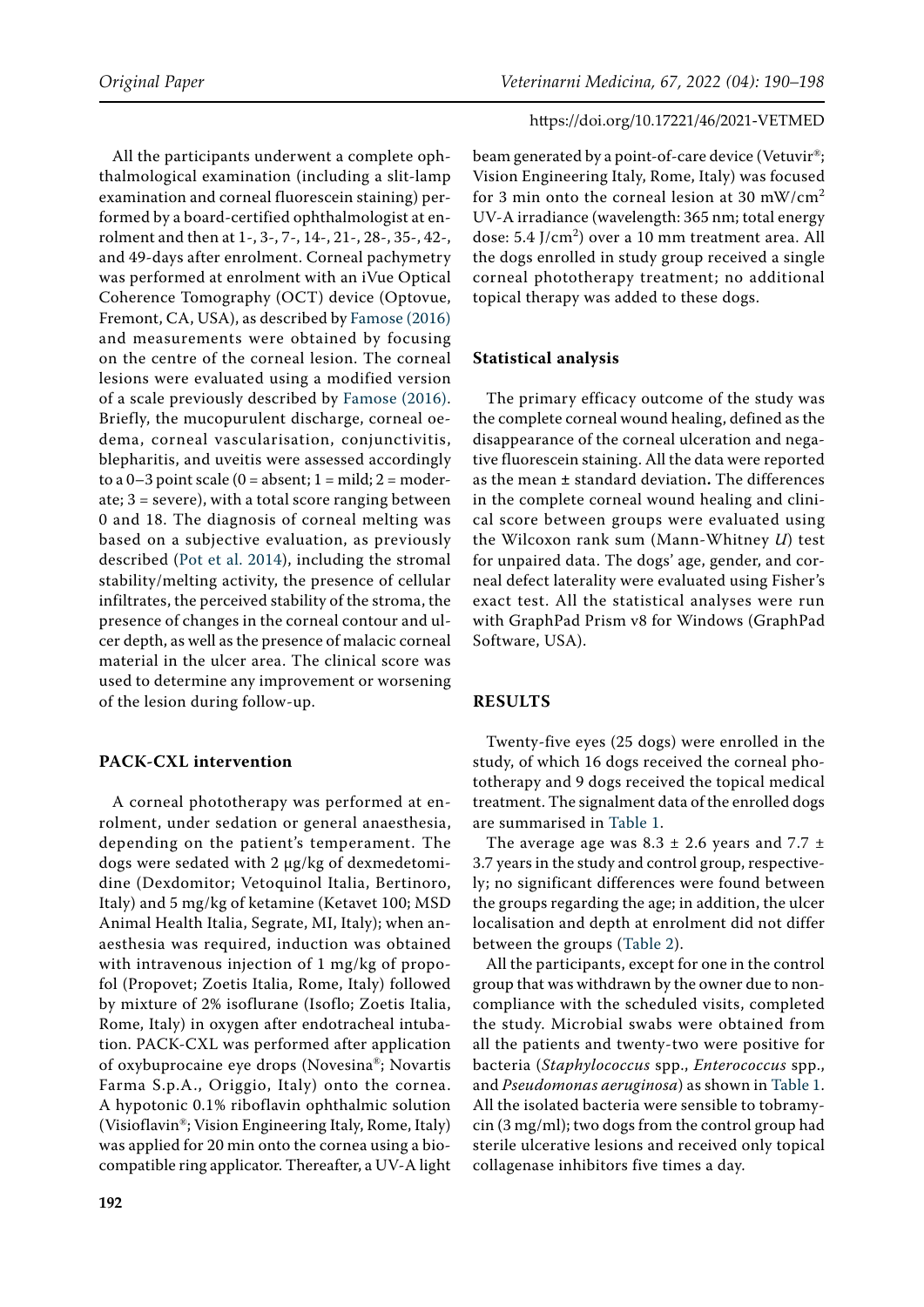All the participants underwent a complete ophthalmological examination (including a slit-lamp examination and corneal fluorescein staining) performed by a board-certified ophthalmologist at enrolment and then at 1-, 3-, 7-, 14-, 21-, 28-, 35-, 42-, and 49-days after enrolment. Corneal pachymetry was performed at enrolment with an iVue Optical Coherence Tomography (OCT) device (Optovue, Fremont, CA, USA), as described by [Famose \(2016\)](#page-7-22)  and measurements were obtained by focusing on the centre of the corneal lesion. The corneal lesions were evaluated using a modified version of a scale previously described by [Famose \(2016\)](#page-7-22). Briefly, the mucopurulent discharge, corneal oedema, corneal vascularisation, conjunctivitis, blepharitis, and uveitis were assessed accordingly to a  $0-3$  point scale ( $0 =$  absent;  $1 =$  mild;  $2 =$  moderate; 3 = severe), with a total score ranging between 0 and 18. The diagnosis of corneal melting was based on a subjective evaluation, as previously described [\(Pot et al. 2014\)](#page-8-2), including the stromal stability/melting activity, the presence of cellular infiltrates, the perceived stability of the stroma, the presence of changes in the corneal contour and ulcer depth, as well as the presence of malacic corneal material in the ulcer area. The clinical score was used to determine any improvement or worsening of the lesion during follow-up.

# **PACK-CXL intervention**

A corneal phototherapy was performed at enrolment, under sedation or general anaesthesia, depending on the patient's temperament. The dogs were sedated with 2 µg/kg of dexmedetomidine (Dexdomitor; Vetoquinol Italia, Bertinoro, Italy) and 5 mg/kg of ketamine (Ketavet 100; MSD Animal Health Italia, Segrate, MI, Italy); when anaesthesia was required, induction was obtained with intravenous injection of 1 mg/kg of propofol (Propovet; Zoetis Italia, Rome, Italy) followed by mixture of 2% isoflurane (Isoflo; Zoetis Italia, Rome, Italy) in oxygen after endotracheal intubation. PACK-CXL was performed after application of oxybuprocaine eye drops (Novesina®; Novartis Farma S.p.A., Origgio, Italy) onto the cornea. A hypotonic 0.1% riboflavin ophthalmic solution (Visioflavin®; Vision Engineering Italy, Rome, Italy) was applied for 20 min onto the cornea using a biocompatible ring applicator. Thereafter, a UV-A light beam generated by a point-of-care device (Vetuvir®; Vision Engineering Italy, Rome, Italy) was focused for 3 min onto the corneal lesion at 30 mW/cm<sup>2</sup> UV-A irradiance (wavelength: 365 nm; total energy dose:  $5.4$  J/cm<sup>2</sup>) over a 10 mm treatment area. All the dogs enrolled in study group received a single corneal phototherapy treatment; no additional topical therapy was added to these dogs.

# **Statistical analysis**

The primary efficacy outcome of the study was the complete corneal wound healing, defined as the disappearance of the corneal ulceration and negative fluorescein staining. All the data were reported as the mean **±** standard deviation**.** The differences in the complete corneal wound healing and clinical score between groups were evaluated using the Wilcoxon rank sum (Mann-Whitney *U*) test for unpaired data. The dogs' age, gender, and corneal defect laterality were evaluated using Fisher's exact test. All the statistical analyses were run with GraphPad Prism v8 for Windows (GraphPad Software, USA).

# **RESULTS**

Twenty-five eyes (25 dogs) were enrolled in the study, of which 16 dogs received the corneal phototherapy and 9 dogs received the topical medical treatment. The signalment data of the enrolled dogs are summarised in [Table 1](#page-3-0).

The average age was  $8.3 \pm 2.6$  years and  $7.7 \pm 1$ 3.7 years in the study and control group, respectively; no significant differences were found between the groups regarding the age; in addition, the ulcer localisation and depth at enrolment did not differ between the groups ([Table 2](#page-3-1)).

All the participants, except for one in the control group that was withdrawn by the owner due to noncompliance with the scheduled visits, completed the study. Microbial swabs were obtained from all the patients and twenty-two were positive for bacteria (*Staphylococcus* spp., *Enterococcus* spp., and *Pseudomonas aeruginosa*) as shown in [Table 1](#page-3-0). All the isolated bacteria were sensible to tobramycin (3 mg/ml); two dogs from the control group had sterile ulcerative lesions and received only topical collagenase inhibitors five times a day.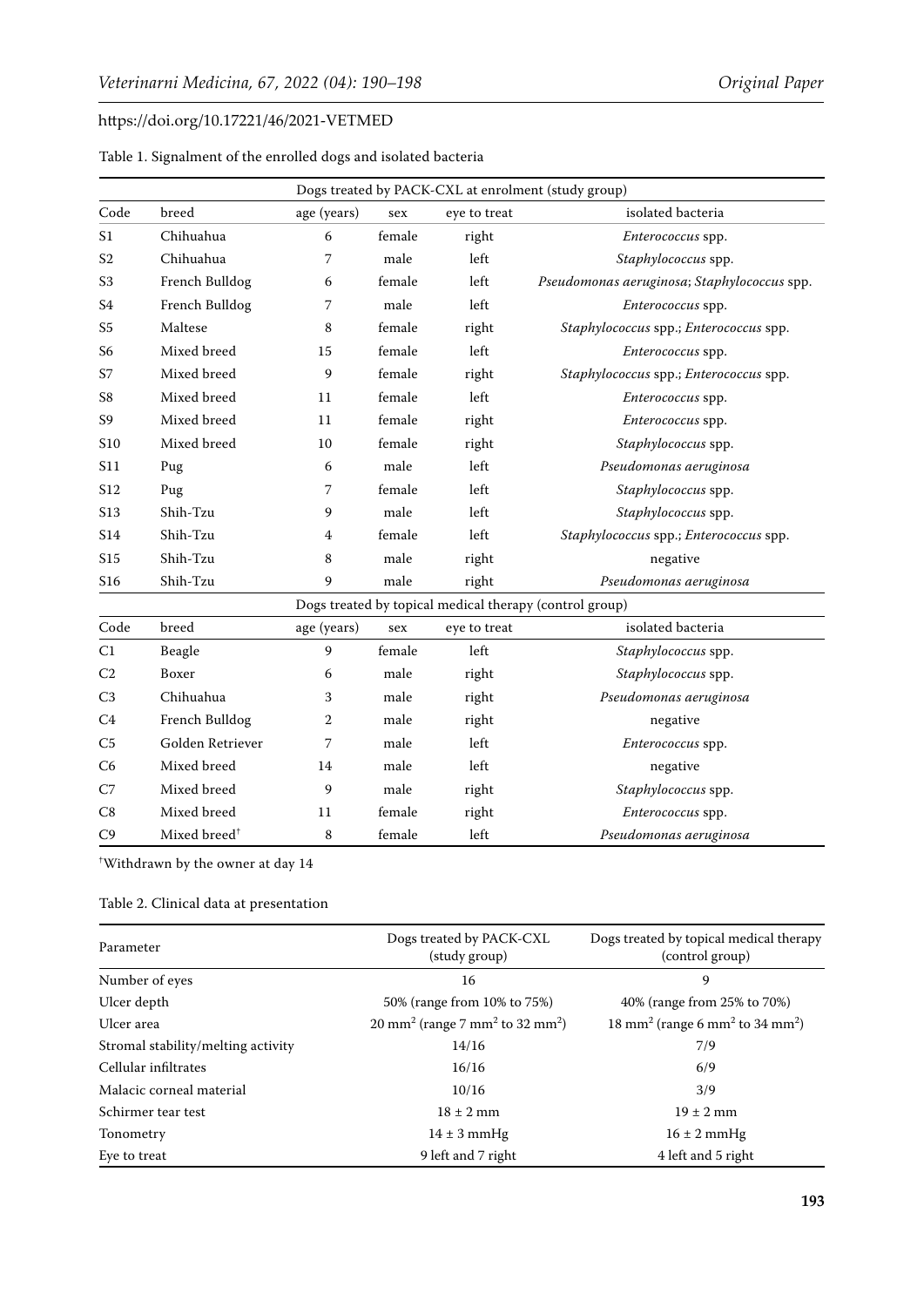<span id="page-3-0"></span>

| Table 1. Signalment of the enrolled dogs and isolated bacteria |  |  |  |  |
|----------------------------------------------------------------|--|--|--|--|
|----------------------------------------------------------------|--|--|--|--|

| Dogs treated by PACK-CXL at enrolment (study group) |                          |             |        |              |                                                         |  |  |
|-----------------------------------------------------|--------------------------|-------------|--------|--------------|---------------------------------------------------------|--|--|
| Code                                                | breed                    | age (years) | sex    | eye to treat | isolated bacteria                                       |  |  |
| S <sub>1</sub>                                      | Chihuahua                | 6           | female | right        | Enterococcus spp.                                       |  |  |
| S <sub>2</sub>                                      | Chihuahua                | 7           | male   | left         | Staphylococcus spp.                                     |  |  |
| S <sub>3</sub>                                      | French Bulldog           | 6           | female | left         | Pseudomonas aeruginosa; Staphylococcus spp.             |  |  |
| S <sub>4</sub>                                      | French Bulldog           | 7           | male   | left         | Enterococcus spp.                                       |  |  |
| S <sub>5</sub>                                      | Maltese                  | 8           | female | right        | Staphylococcus spp.; Enterococcus spp.                  |  |  |
| S <sub>6</sub>                                      | Mixed breed              | 15          | female | left         | Enterococcus spp.                                       |  |  |
| S7                                                  | Mixed breed              | 9           | female | right        | Staphylococcus spp.; Enterococcus spp.                  |  |  |
| S8                                                  | Mixed breed              | 11          | female | left         | Enterococcus spp.                                       |  |  |
| S9                                                  | Mixed breed              | 11          | female | right        | <i>Enterococcus</i> spp.                                |  |  |
| S10                                                 | Mixed breed              | 10          | female | right        | Staphylococcus spp.                                     |  |  |
| S11                                                 | Pug                      | 6           | male   | left         | Pseudomonas aeruginosa                                  |  |  |
| S <sub>12</sub>                                     | Pug                      | 7           | female | left         | Staphylococcus spp.                                     |  |  |
| S <sub>1</sub> 3                                    | Shih-Tzu                 | 9           | male   | left         | Staphylococcus spp.                                     |  |  |
| S14                                                 | Shih-Tzu                 | 4           | female | left         | Staphylococcus spp.; Enterococcus spp.                  |  |  |
| S <sub>15</sub>                                     | Shih-Tzu                 | 8           | male   | right        | negative                                                |  |  |
| S16                                                 | Shih-Tzu                 | 9           | male   | right        | Pseudomonas aeruginosa                                  |  |  |
|                                                     |                          |             |        |              | Dogs treated by topical medical therapy (control group) |  |  |
| Code                                                | breed                    | age (years) | sex    | eye to treat | isolated bacteria                                       |  |  |
| C1                                                  | Beagle                   | 9           | female | left         | Staphylococcus spp.                                     |  |  |
| C <sub>2</sub>                                      | Boxer                    | 6           | male   | right        | Staphylococcus spp.                                     |  |  |
| C <sub>3</sub>                                      | Chihuahua                | 3           | male   | right        | Pseudomonas aeruginosa                                  |  |  |
| C4                                                  | French Bulldog           | 2           | male   | right        | negative                                                |  |  |
| C <sub>5</sub>                                      | Golden Retriever         | 7           | male   | left         | <i>Enterococcus</i> spp.                                |  |  |
| C <sub>6</sub>                                      | Mixed breed              | 14          | male   | left         | negative                                                |  |  |
| C7                                                  | Mixed breed              | 9           | male   | right        | Staphylococcus spp.                                     |  |  |
| C8                                                  | Mixed breed              | 11          | female | right        | Enterococcus spp.                                       |  |  |
| C9                                                  | Mixed breed <sup>+</sup> | 8           | female | left         | Pseudomonas aeruginosa                                  |  |  |

† Withdrawn by the owner at day 14

# <span id="page-3-1"></span>Table 2. Clinical data at presentation

| Parameter                          | Dogs treated by PACK-CXL<br>(study group)                          | Dogs treated by topical medical therapy<br>(control group)          |  |
|------------------------------------|--------------------------------------------------------------------|---------------------------------------------------------------------|--|
| Number of eyes                     | 16                                                                 | 9                                                                   |  |
| Ulcer depth                        | 50% (range from 10% to 75%)                                        | 40% (range from 25% to 70%)                                         |  |
| Ulcer area                         | $20 \text{ mm}^2$ (range 7 mm <sup>2</sup> to 32 mm <sup>2</sup> ) | 18 mm <sup>2</sup> (range 6 mm <sup>2</sup> to 34 mm <sup>2</sup> ) |  |
| Stromal stability/melting activity | 14/16                                                              | 7/9                                                                 |  |
| Cellular infiltrates               | 16/16                                                              | 6/9                                                                 |  |
| Malacic corneal material           | 10/16                                                              | 3/9                                                                 |  |
| Schirmer tear test                 | $18 \pm 2$ mm                                                      | $19 \pm 2$ mm                                                       |  |
| Tonometry                          | $14 \pm 3$ mmHg                                                    | $16 \pm 2$ mmHg                                                     |  |
| Eye to treat                       | 9 left and 7 right                                                 | 4 left and 5 right                                                  |  |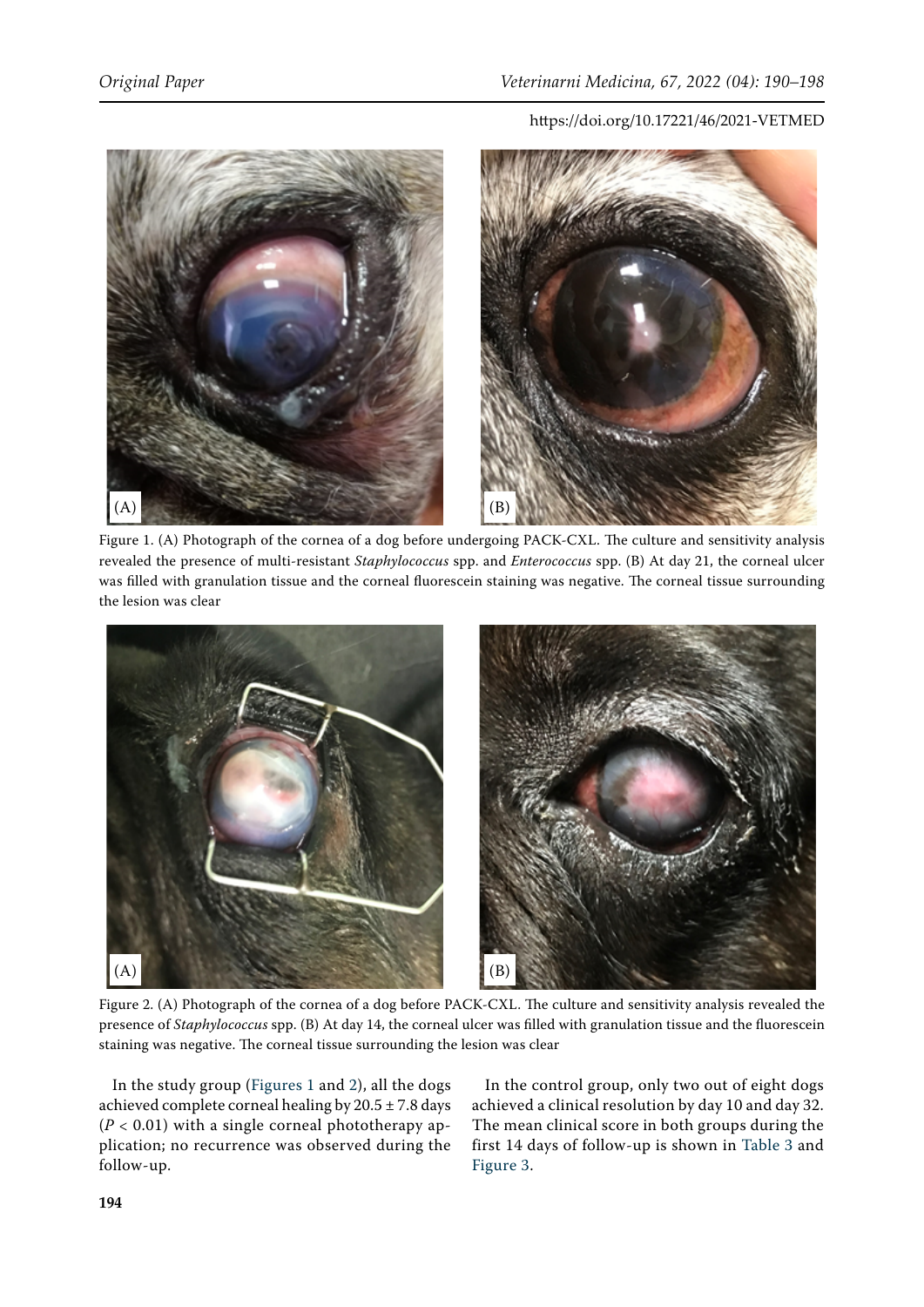<span id="page-4-0"></span>

Figure 1. (A) Photograph of the cornea of a dog before undergoing PACK-CXL. The culture and sensitivity analysis revealed the presence of multi-resistant *Staphylococcus* spp. and *Enterococcus* spp. (B) At day 21, the corneal ulcer was filled with granulation tissue and the corneal fluorescein staining was negative. The corneal tissue surrounding the lesion was clear

<span id="page-4-1"></span>

Figure 2. (A) Photograph of the cornea of a dog before PACK-CXL. The culture and sensitivity analysis revealed the presence of *Staphylococcus* spp. (B) At day 14, the corneal ulcer was filled with granulation tissue and the fluorescein staining was negative. The corneal tissue surrounding the lesion was clear

In the study group ([Figures 1](#page-4-0) and [2](#page-4-1)), all the dogs achieved complete corneal healing by  $20.5 \pm 7.8$  days  $(P < 0.01)$  with a single corneal phototherapy application; no recurrence was observed during the follow-up.

In the control group, only two out of eight dogs achieved a clinical resolution by day 10 and day 32. The mean clinical score in both groups during the first 14 days of follow-up is shown in [Table 3](#page-5-0) and [Figure 3](#page-5-1).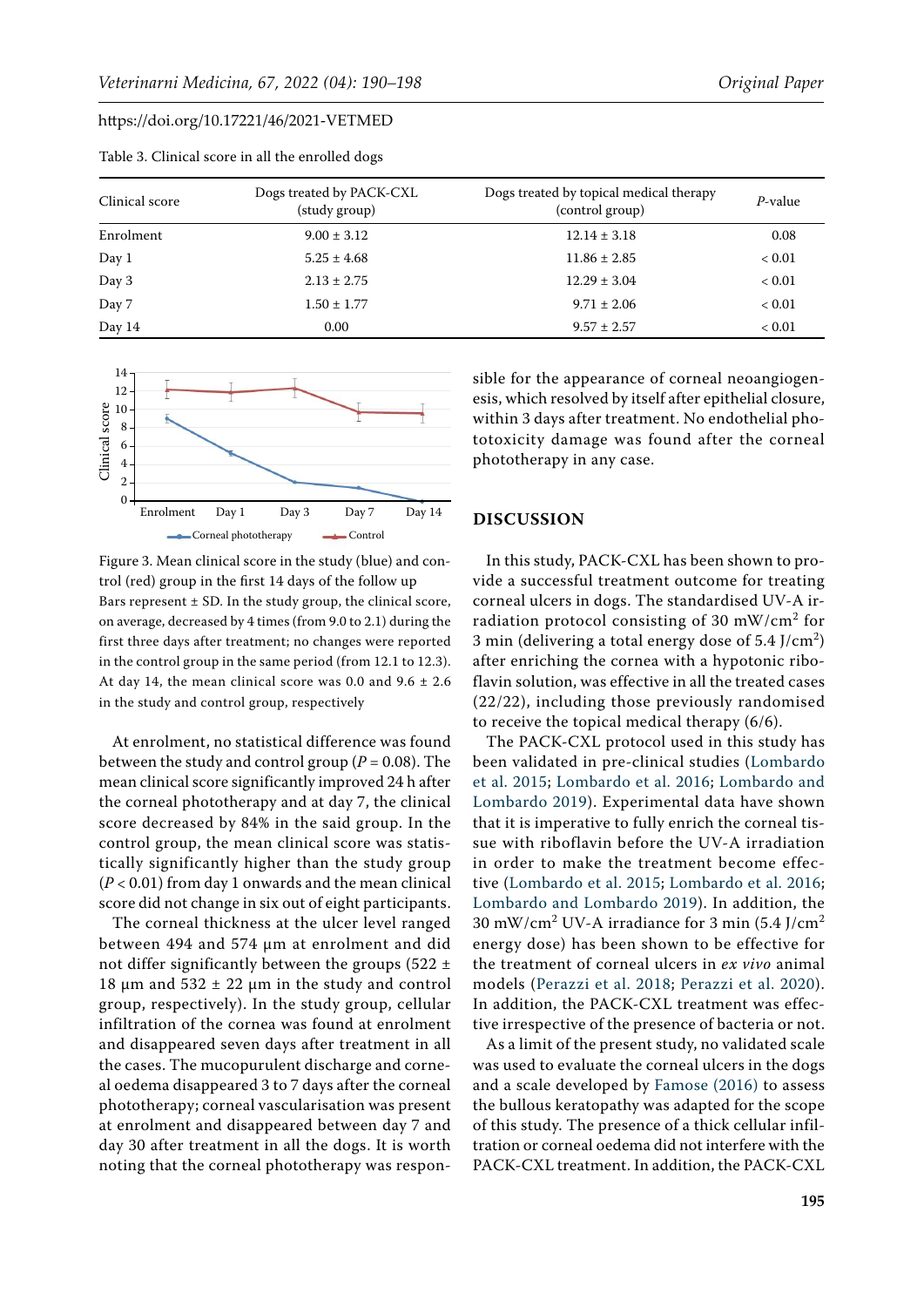| Clinical score | Dogs treated by PACK-CXL<br>(study group) | Dogs treated by topical medical therapy<br>(control group) | P-value    |
|----------------|-------------------------------------------|------------------------------------------------------------|------------|
| Enrolment      | $9.00 \pm 3.12$                           | $12.14 \pm 3.18$                                           | 0.08       |
| Day 1          | $5.25 \pm 4.68$                           | $11.86 \pm 2.85$                                           | ${}< 0.01$ |
| Day 3          | $2.13 \pm 2.75$                           | $12.29 \pm 3.04$                                           | ${}< 0.01$ |
| Day 7          | $1.50 \pm 1.77$                           | $9.71 \pm 2.06$                                            | ${}< 0.01$ |
| Day 14         | 0.00                                      | $9.57 \pm 2.57$                                            | ${}< 0.01$ |

<span id="page-5-0"></span>Table 3. Clinical score in all the enrolled dogs

<span id="page-5-1"></span>

Figure 3. Mean clinical score in the study (blue) and control (red) group in the first 14 days of the follow up Bars represent  $\pm$  SD. In the study group, the clinical score, on average, decreased by 4 times (from 9.0 to 2.1) during the first three days after treatment; no changes were reported in the control group in the same period (from 12.1 to 12.3). At day 14, the mean clinical score was 0.0 and  $9.6 \pm 2.6$ in the study and control group, respectively

At enrolment, no statistical difference was found between the study and control group ( $P = 0.08$ ). The mean clinical score significantly improved 24 h after the corneal phototherapy and at day 7, the clinical score decreased by 84% in the said group. In the control group, the mean clinical score was statistically significantly higher than the study group (*P* < 0.01) from day 1 onwards and the mean clinical score did not change in six out of eight participants.

The corneal thickness at the ulcer level ranged between 494 and 574 um at enrolment and did not differ significantly between the groups (522  $\pm$ 18  $\mu$ m and 532  $\pm$  22  $\mu$ m in the study and control group, respectively). In the study group, cellular infiltration of the cornea was found at enrolment and disappeared seven days after treatment in all the cases. The mucopurulent discharge and corneal oedema disappeared 3 to 7 days after the corneal phototherapy; corneal vascularisation was present at enrolment and disappeared between day 7 and day 30 after treatment in all the dogs. It is worth noting that the corneal phototherapy was responsible for the appearance of corneal neoangiogenesis, which resolved by itself after epithelial closure, within 3 days after treatment. No endothelial phototoxicity damage was found after the corneal phototherapy in any case.

### **DISCUSSION**

In this study, PACK-CXL has been shown to provide a successful treatment outcome for treating corneal ulcers in dogs. The standardised UV-A irradiation protocol consisting of 30 mW/cm<sup>2</sup> for 3 min (delivering a total energy dose of  $5.4$  J/cm<sup>2</sup>) after enriching the cornea with a hypotonic riboflavin solution, was effective in all the treated cases (22/22), including those previously randomised to receive the topical medical therapy (6/6).

The PACK-CXL protocol used in this study has been validated in pre-clinical studies ([Lombardo](#page-7-14) [et al. 2015;](#page-7-14) [Lombardo et al. 2016;](#page-7-23) [Lombardo and](#page-7-16) [Lombardo 2019](#page-7-16)). Experimental data have shown that it is imperative to fully enrich the corneal tissue with riboflavin before the UV-A irradiation in order to make the treatment become effective ([Lombardo et al. 2015;](#page-7-14) [Lombardo et al. 2016](#page-7-23); [Lombardo and Lombardo 2019\)](#page-7-16). In addition, the 30 mW/cm<sup>2</sup> UV-A irradiance for 3 min  $(5.4$  J/cm<sup>2</sup> energy dose) has been shown to be effective for the treatment of corneal ulcers in *ex vivo* animal models ([Perazzi et al. 2018](#page-7-15); [Perazzi et al. 2020](#page-7-17)). In addition, the PACK-CXL treatment was effective irrespective of the presence of bacteria or not.

As a limit of the present study, no validated scale was used to evaluate the corneal ulcers in the dogs and a scale developed by [Famose \(2016\)](#page-7-22) to assess the bullous keratopathy was adapted for the scope of this study. The presence of a thick cellular infiltration or corneal oedema did not interfere with the PACK-CXL treatment. In addition, the PACK-CXL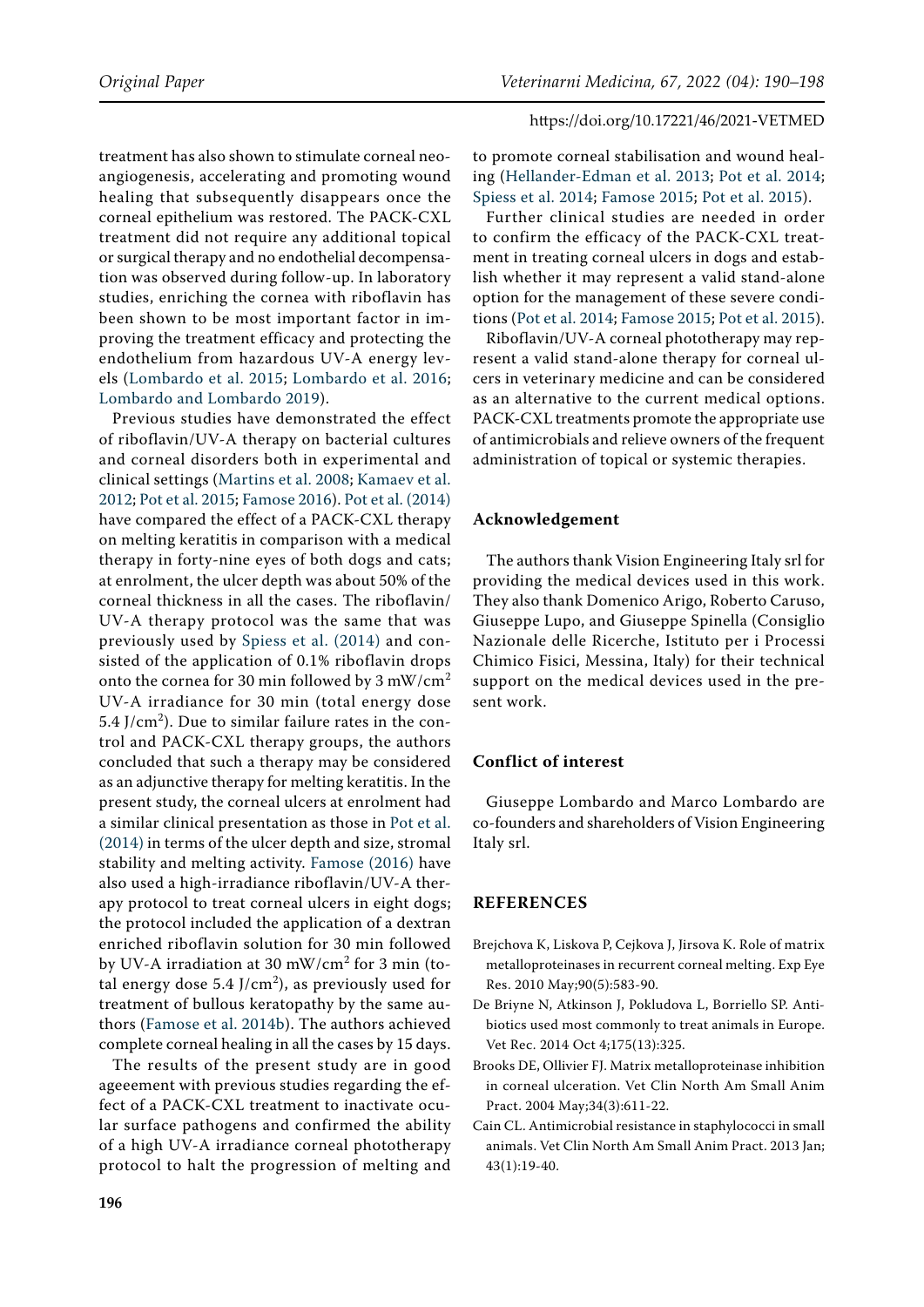treatment has also shown to stimulate corneal neoangiogenesis, accelerating and promoting wound healing that subsequently disappears once the corneal epithelium was restored. The PACK-CXL treatment did not require any additional topical or surgical therapy and no endothelial decompensation was observed during follow-up. In laboratory studies, enriching the cornea with riboflavin has been shown to be most important factor in improving the treatment efficacy and protecting the endothelium from hazardous UV-A energy levels ([Lombardo et al. 2015;](#page-7-14) [Lombardo et al. 2016](#page-7-23); [Lombardo and Lombardo 2019](#page-7-16)).

Previous studies have demonstrated the effect of riboflavin/UV-A therapy on bacterial cultures and corneal disorders both in experimental and clinical settings ([Martins et al. 2008](#page-7-19); [Kamaev et al.](#page-7-24)  [2012](#page-7-24); [Pot et al. 2015;](#page-8-9) [Famose 2016\)](#page-7-22). [Pot et al. \(2014\)](#page-8-2)  have compared the effect of a PACK-CXL therapy on melting keratitis in comparison with a medical therapy in forty-nine eyes of both dogs and cats; at enrolment, the ulcer depth was about 50% of the corneal thickness in all the cases. The riboflavin/ UV-A therapy protocol was the same that was previously used by [Spiess et al. \(2014\)](#page-8-0) and consisted of the application of 0.1% riboflavin drops onto the cornea for 30 min followed by 3 mW/cm<sup>2</sup> UV-A irradiance for 30 min (total energy dose 5.4 J/cm<sup>2</sup>). Due to similar failure rates in the control and PACK-CXL therapy groups, the authors concluded that such a therapy may be considered as an adjunctive therapy for melting keratitis. In the present study, the corneal ulcers at enrolment had a similar clinical presentation as those in [Pot et al.](#page-8-2)  [\(2014\) i](#page-8-2)n terms of the ulcer depth and size, stromal stability and melting activity. [Famose \(2016](#page-7-22)) have also used a high-irradiance riboflavin/UV-A therapy protocol to treat corneal ulcers in eight dogs; the protocol included the application of a dextran enriched riboflavin solution for 30 min followed by UV-A irradiation at 30 mW/cm<sup>2</sup> for 3 min (total energy dose 5.4 J/cm<sup>2</sup>), as previously used for treatment of bullous keratopathy by the same authors ([Famose et al. 2014b\)](#page-7-25). The authors achieved complete corneal healing in all the cases by 15 days.

The results of the present study are in good ageeement with previous studies regarding the effect of a PACK-CXL treatment to inactivate ocular surface pathogens and confirmed the ability of a high UV-A irradiance corneal phototherapy protocol to halt the progression of melting and

to promote corneal stabilisation and wound healing ([Hellander-Edman et al. 2013;](#page-7-20) [Pot et al. 2014](#page-8-2); [Spiess et al. 2014](#page-8-0); [Famose 2015](#page-7-7); [Pot et al. 2015](#page-8-9)).

Further clinical studies are needed in order to confirm the efficacy of the PACK-CXL treatment in treating corneal ulcers in dogs and establish whether it may represent a valid stand-alone option for the management of these severe conditions ([Pot et al. 2014](#page-8-2); [Famose 2015](#page-7-7); [Pot et al. 2015](#page-8-9)).

Riboflavin/UV-A corneal phototherapy may represent a valid stand-alone therapy for corneal ulcers in veterinary medicine and can be considered as an alternative to the current medical options. PACK-CXL treatments promote the appropriate use of antimicrobials and relieve owners of the frequent administration of topical or systemic therapies.

#### **Acknowledgement**

The authors thank Vision Engineering Italy srl for providing the medical devices used in this work. They also thank Domenico Arigo, Roberto Caruso, Giuseppe Lupo, and Giuseppe Spinella (Consiglio Nazionale delle Ricerche, Istituto per i Processi Chimico Fisici, Messina, Italy) for their technical support on the medical devices used in the present work.

#### **Conflict of interest**

Giuseppe Lombardo and Marco Lombardo are co-founders and shareholders of Vision Engineering Italy srl.

#### **REFERENCES**

- <span id="page-6-0"></span>Brejchova K, Liskova P, Cejkova J, Jirsova K. Role of matrix metalloproteinases in recurrent corneal melting. Exp Eye Res. 2010 May;90(5):583-90.
- <span id="page-6-3"></span>De Briyne N, Atkinson J, Pokludova L, Borriello SP. Antibiotics used most commonly to treat animals in Europe. Vet Rec. 2014 Oct 4;175(13):325.
- <span id="page-6-1"></span>Brooks DE, Ollivier FJ. Matrix metalloproteinase inhibition in corneal ulceration. Vet Clin North Am Small Anim Pract. 2004 May;34(3):611-22.
- <span id="page-6-2"></span>Cain CL. Antimicrobial resistance in staphylococci in small animals. Vet Clin North Am Small Anim Pract. 2013 Jan; 43(1):19-40.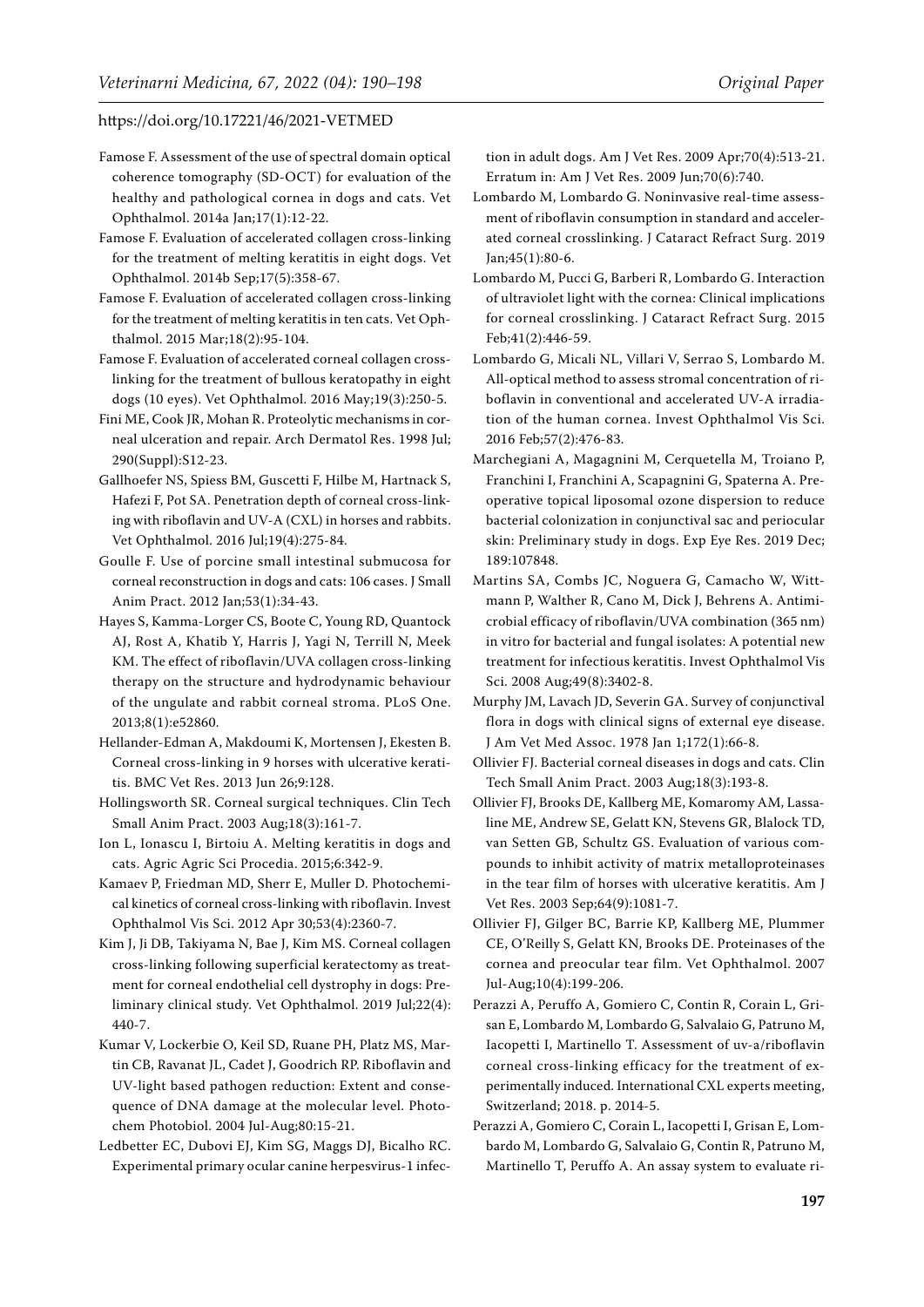- <span id="page-7-21"></span>Famose F. Assessment of the use of spectral domain optical coherence tomography (SD-OCT) for evaluation of the healthy and pathological cornea in dogs and cats. Vet Ophthalmol. 2014a Jan;17(1):12-22.
- <span id="page-7-25"></span>Famose F. Evaluation of accelerated collagen cross-linking for the treatment of melting keratitis in eight dogs. Vet Ophthalmol. 2014b Sep;17(5):358-67.
- <span id="page-7-7"></span>Famose F. Evaluation of accelerated collagen cross-linking for the treatment of melting keratitis in ten cats. Vet Ophthalmol. 2015 Mar;18(2):95-104.
- <span id="page-7-22"></span>Famose F. Evaluation of accelerated corneal collagen crosslinking for the treatment of bullous keratopathy in eight dogs (10 eyes). Vet Ophthalmol. 2016 May;19(3):250-5.
- <span id="page-7-5"></span>Fini ME, Cook JR, Mohan R. Proteolytic mechanisms in corneal ulceration and repair. Arch Dermatol Res. 1998 Jul; 290(Suppl):S12-23.
- <span id="page-7-9"></span>Gallhoefer NS, Spiess BM, Guscetti F, Hilbe M, Hartnack S, Hafezi F, Pot SA. Penetration depth of corneal cross-linking with riboflavin and UV-A (CXL) in horses and rabbits. Vet Ophthalmol. 2016 Jul;19(4):275-84.
- <span id="page-7-11"></span>Goulle F. Use of porcine small intestinal submucosa for corneal reconstruction in dogs and cats: 106 cases. J Small Anim Pract. 2012 Jan;53(1):34-43.
- <span id="page-7-13"></span>Hayes S, Kamma-Lorger CS, Boote C, Young RD, Quantock AJ, Rost A, Khatib Y, Harris J, Yagi N, Terrill N, Meek KM. The effect of riboflavin/UVA collagen cross-linking therapy on the structure and hydrodynamic behaviour of the ungulate and rabbit corneal stroma. PLoS One. 2013;8(1):e52860.
- <span id="page-7-20"></span>Hellander-Edman A, Makdoumi K, Mortensen J, Ekesten B. Corneal cross-linking in 9 horses with ulcerative keratitis. BMC Vet Res. 2013 Jun 26;9:128.
- <span id="page-7-10"></span>Hollingsworth SR. Corneal surgical techniques. Clin Tech Small Anim Pract. 2003 Aug;18(3):161-7.
- <span id="page-7-8"></span>Ion L, Ionascu I, Birtoiu A. Melting keratitis in dogs and cats. Agric Agric Sci Procedia. 2015;6:342-9.
- <span id="page-7-24"></span>Kamaev P, Friedman MD, Sherr E, Muller D. Photochemical kinetics of corneal cross-linking with riboflavin. Invest Ophthalmol Vis Sci. 2012 Apr 30;53(4):2360-7.
- <span id="page-7-3"></span>Kim J, Ji DB, Takiyama N, Bae J, Kim MS. Corneal collagen cross-linking following superficial keratectomy as treatment for corneal endothelial cell dystrophy in dogs: Preliminary clinical study. Vet Ophthalmol. 2019 Jul;22(4): 440-7.
- <span id="page-7-18"></span>Kumar V, Lockerbie O, Keil SD, Ruane PH, Platz MS, Martin CB, Ravanat JL, Cadet J, Goodrich RP. Riboflavin and UV-light based pathogen reduction: Extent and consequence of DNA damage at the molecular level. Photochem Photobiol. 2004 Jul-Aug;80:15-21.
- <span id="page-7-2"></span>Ledbetter EC, Dubovi EJ, Kim SG, Maggs DJ, Bicalho RC. Experimental primary ocular canine herpesvirus-1 infec-

tion in adult dogs. Am J Vet Res. 2009 Apr;70(4):513-21. Erratum in: Am J Vet Res. 2009 Jun;70(6):740.

- <span id="page-7-16"></span>Lombardo M, Lombardo G. Noninvasive real-time assessment of riboflavin consumption in standard and accelerated corneal crosslinking. J Cataract Refract Surg. 2019 Jan;45(1):80-6.
- <span id="page-7-14"></span>Lombardo M, Pucci G, Barberi R, Lombardo G. Interaction of ultraviolet light with the cornea: Clinical implications for corneal crosslinking. J Cataract Refract Surg. 2015 Feb;41(2):446-59.
- <span id="page-7-23"></span>Lombardo G, Micali NL, Villari V, Serrao S, Lombardo M. All-optical method to assess stromal concentration of riboflavin in conventional and accelerated UV-A irradiation of the human cornea. Invest Ophthalmol Vis Sci. 2016 Feb;57(2):476-83.
- <span id="page-7-12"></span>Marchegiani A, Magagnini M, Cerquetella M, Troiano P, Franchini I, Franchini A, Scapagnini G, Spaterna A. Preoperative topical liposomal ozone dispersion to reduce bacterial colonization in conjunctival sac and periocular skin: Preliminary study in dogs. Exp Eye Res. 2019 Dec; 189:107848.
- <span id="page-7-19"></span>Martins SA, Combs JC, Noguera G, Camacho W, Wittmann P, Walther R, Cano M, Dick J, Behrens A. Antimicrobial efficacy of riboflavin/UVA combination (365 nm) in vitro for bacterial and fungal isolates: A potential new treatment for infectious keratitis. Invest Ophthalmol Vis Sci. 2008 Aug;49(8):3402-8.
- <span id="page-7-0"></span>Murphy JM, Lavach JD, Severin GA. Survey of conjunctival flora in dogs with clinical signs of external eye disease. J Am Vet Med Assoc. 1978 Jan 1;172(1):66-8.
- <span id="page-7-1"></span>Ollivier FJ. Bacterial corneal diseases in dogs and cats. Clin Tech Small Anim Pract. 2003 Aug;18(3):193-8.
- <span id="page-7-4"></span>Ollivier FJ, Brooks DE, Kallberg ME, Komaromy AM, Lassaline ME, Andrew SE, Gelatt KN, Stevens GR, Blalock TD, van Setten GB, Schultz GS. Evaluation of various compounds to inhibit activity of matrix metalloproteinases in the tear film of horses with ulcerative keratitis. Am J Vet Res. 2003 Sep;64(9):1081-7.
- <span id="page-7-6"></span>Ollivier FJ, Gilger BC, Barrie KP, Kallberg ME, Plummer CE, O'Reilly S, Gelatt KN, Brooks DE. Proteinases of the cornea and preocular tear film. Vet Ophthalmol. 2007 Jul-Aug;10(4):199-206.
- <span id="page-7-15"></span>Perazzi A, Peruffo A, Gomiero C, Contin R, Corain L, Grisan E, Lombardo M, Lombardo G, Salvalaio G, Patruno M, Iacopetti I, Martinello T. Assessment of uv-a/riboflavin corneal cross-linking efficacy for the treatment of experimentally induced. International CXL experts meeting, Switzerland; 2018. p. 2014-5.
- <span id="page-7-17"></span>Perazzi A, Gomiero C, Corain L, Iacopetti I, Grisan E, Lombardo M, Lombardo G, Salvalaio G, Contin R, Patruno M, Martinello T, Peruffo A. An assay system to evaluate ri-